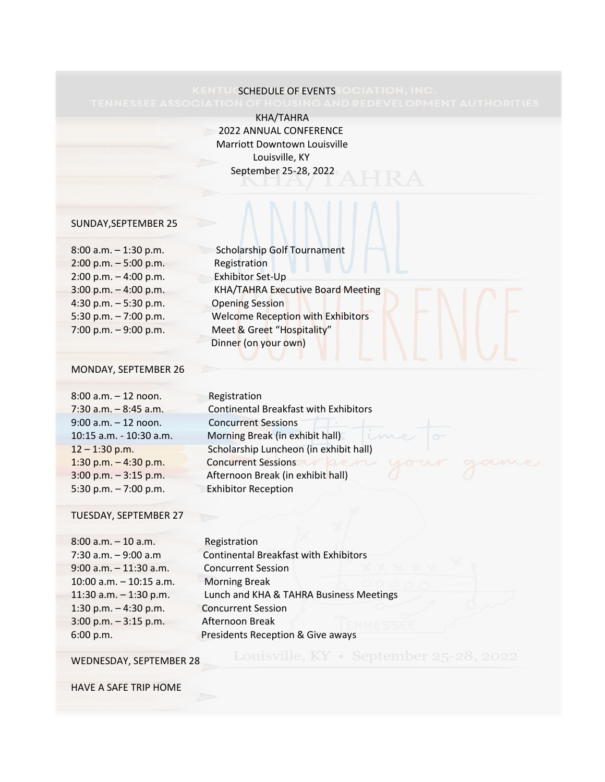# KENTUCSCHEDULE OF EVENTSSOCIATION, INC.<br>TENNESSEE ASSOCIATION OF HOUSING AND REDEVELOPMI

 KHA/TAHRA 2022 ANNUAL CONFERENCE Marriott Downtown Louisville Louisville, KY September 25-28, 2022

#### SUNDAY,SEPTEMBER 25

| $8:00$ a.m. $-1:30$ p.m. | Scholarship Golf       |
|--------------------------|------------------------|
| $2:00$ p.m. $-5:00$ p.m. | Registration           |
| $2:00$ p.m. $-4:00$ p.m. | Exhibitor Set-Up       |
| $3:00$ p.m. $-4:00$ p.m. | <b>KHA/TAHRA Exe</b>   |
| 4:30 p.m. $-5:30$ p.m.   | <b>Opening Session</b> |
| 5:30 p.m. $-7:00$ p.m.   | <b>Welcome Recept</b>  |
| 7:00 p.m. $-9:00$ p.m.   | Meet & Greet "H        |
|                          |                        |

| $8:00$ a.m. $-1:30$ p.m. | <b>Scholarship Golf Tournament</b> |
|--------------------------|------------------------------------|
| $2:00$ p.m. $-5:00$ p.m. | Registration                       |
| $2:00$ p.m. $-4:00$ p.m. | Exhibitor Set-Up                   |
| $3:00$ p.m. $-4:00$ p.m. | KHA/TAHRA Executive Board Meeting  |
| 4:30 p.m. $-5:30$ p.m.   | <b>Opening Session</b>             |
| 5:30 p.m. $-7:00$ p.m.   | Welcome Reception with Exhibitors  |
| 7:00 p.m. $-9:00$ p.m.   | Meet & Greet "Hospitality"         |
|                          | Dinner (on your own)               |

#### MONDAY, SEPTEMBER 26

| $8:00$ a.m. $-12$ noon.  |
|--------------------------|
| $7:30$ a.m. $-8:45$ a.m. |
| $9:00$ a.m. $-12$ noon.  |
| 10:15 a.m. - 10:30 a.m.  |
| $12 - 1:30$ p.m.         |
| 1:30 p.m. $-4:30$ p.m.   |
| $3:00$ p.m. $-3:15$ p.m. |
| $5:30$ p.m. $-7:00$ p.m. |

**Registration** Continental Breakfast with Exhibitors Concurrent Sessions Morning Break (in exhibit hall) Scholarship Luncheon (in exhibit hall) Concurrent Sessions Afternoon Break (in exhibit hall) Exhibitor Reception

#### TUESDAY, SEPTEMBER 27

| $8:00$ a.m. $-10$ a.m.    | Registration                                 |
|---------------------------|----------------------------------------------|
| $7:30$ a.m. $-9:00$ a.m   | <b>Continental Breakfast with Exhibitors</b> |
| $9:00$ a.m. $-11:30$ a.m. | <b>Concurrent Session</b>                    |
| 10:00 a.m. $-$ 10:15 a.m. | <b>Morning Break</b>                         |
| 11:30 a.m. $-1:30$ p.m.   | Lunch and KHA & TAHRA Business Meetings      |
| 1:30 p.m. $-$ 4:30 p.m.   | <b>Concurrent Session</b>                    |
| $3:00$ p.m. $-3:15$ p.m.  | Afternoon Break                              |
| 6:00 p.m.                 | Presidents Reception & Give aways            |

#### WEDNESDAY, SEPTEMBER 28

Louisville, KY · September 25-28, 2022

HAVE A SAFE TRIP HOME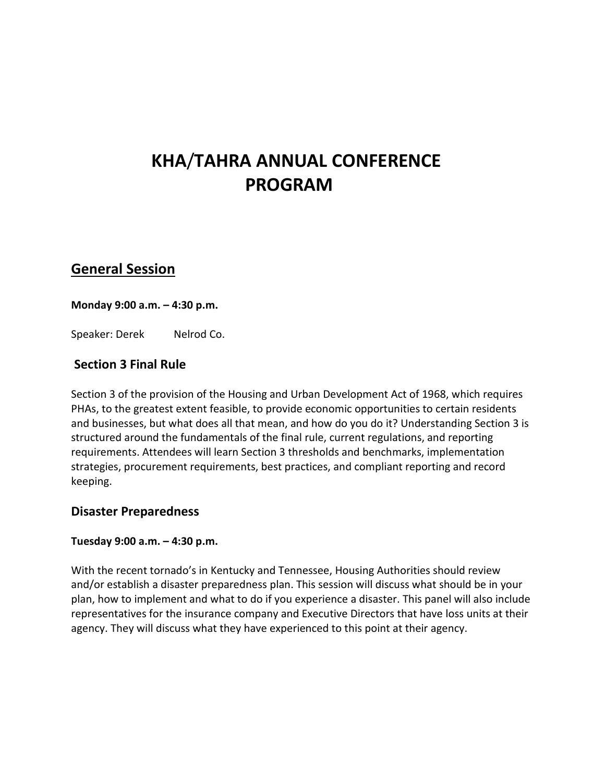# **KHA**/**TAHRA ANNUAL CONFERENCE PROGRAM**

## **General Session**

### **Monday 9:00 a.m. – 4:30 p.m.**

Speaker: Derek Nelrod Co.

## **Section 3 Final Rule**

Section 3 of the provision of the Housing and Urban Development Act of 1968, which requires PHAs, to the greatest extent feasible, to provide economic opportunities to certain residents and businesses, but what does all that mean, and how do you do it? Understanding Section 3 is structured around the fundamentals of the final rule, current regulations, and reporting requirements. Attendees will learn Section 3 thresholds and benchmarks, implementation strategies, procurement requirements, best practices, and compliant reporting and record keeping.

### **Disaster Preparedness**

### **Tuesday 9:00 a.m. – 4:30 p.m.**

With the recent tornado's in Kentucky and Tennessee, Housing Authorities should review and/or establish a disaster preparedness plan. This session will discuss what should be in your plan, how to implement and what to do if you experience a disaster. This panel will also include representatives for the insurance company and Executive Directors that have loss units at their agency. They will discuss what they have experienced to this point at their agency.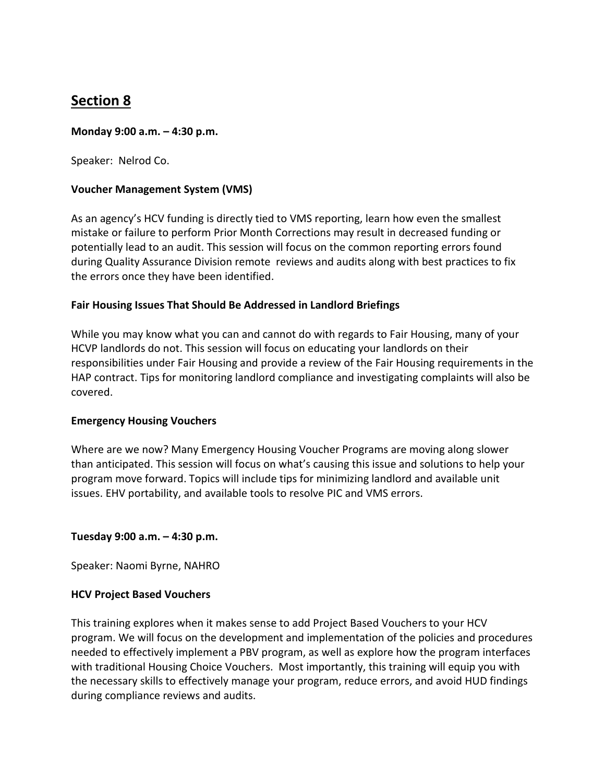# **Section 8**

#### **Monday 9:00 a.m. – 4:30 p.m.**

Speaker: Nelrod Co.

#### **Voucher Management System (VMS)**

As an agency's HCV funding is directly tied to VMS reporting, learn how even the smallest mistake or failure to perform Prior Month Corrections may result in decreased funding or potentially lead to an audit. This session will focus on the common reporting errors found during Quality Assurance Division remote reviews and audits along with best practices to fix the errors once they have been identified.

#### **Fair Housing Issues That Should Be Addressed in Landlord Briefings**

While you may know what you can and cannot do with regards to Fair Housing, many of your HCVP landlords do not. This session will focus on educating your landlords on their responsibilities under Fair Housing and provide a review of the Fair Housing requirements in the HAP contract. Tips for monitoring landlord compliance and investigating complaints will also be covered.

#### **Emergency Housing Vouchers**

Where are we now? Many Emergency Housing Voucher Programs are moving along slower than anticipated. This session will focus on what's causing this issue and solutions to help your program move forward. Topics will include tips for minimizing landlord and available unit issues. EHV portability, and available tools to resolve PIC and VMS errors.

#### **Tuesday 9:00 a.m. – 4:30 p.m.**

Speaker: Naomi Byrne, NAHRO

#### **HCV Project Based Vouchers**

This training explores when it makes sense to add Project Based Vouchers to your HCV program. We will focus on the development and implementation of the policies and procedures needed to effectively implement a PBV program, as well as explore how the program interfaces with traditional Housing Choice Vouchers. Most importantly, this training will equip you with the necessary skills to effectively manage your program, reduce errors, and avoid HUD findings during compliance reviews and audits.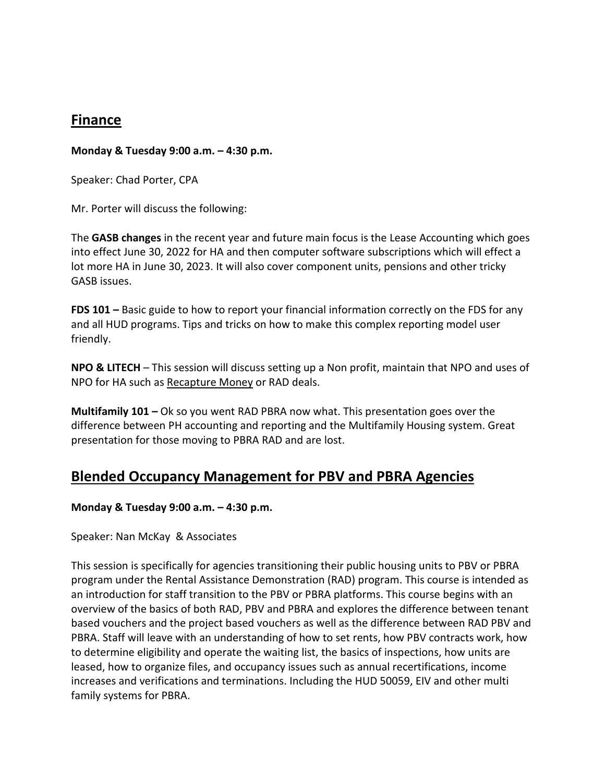## **Finance**

#### **Monday & Tuesday 9:00 a.m. – 4:30 p.m.**

Speaker: Chad Porter, CPA

Mr. Porter will discuss the following:

The **GASB changes** in the recent year and future main focus is the Lease Accounting which goes into effect June 30, 2022 for HA and then computer software subscriptions which will effect a lot more HA in June 30, 2023. It will also cover component units, pensions and other tricky GASB issues.

**FDS 101 –** Basic guide to how to report your financial information correctly on the FDS for any and all HUD programs. Tips and tricks on how to make this complex reporting model user friendly.

**NPO & LITECH** – This session will discuss setting up a Non profit, maintain that NPO and uses of NPO for HA such as Recapture Money or RAD deals.

**Multifamily 101 –** Ok so you went RAD PBRA now what. This presentation goes over the difference between PH accounting and reporting and the Multifamily Housing system. Great presentation for those moving to PBRA RAD and are lost.

## **Blended Occupancy Management for PBV and PBRA Agencies**

**Monday & Tuesday 9:00 a.m. – 4:30 p.m.** 

Speaker: Nan McKay & Associates

This session is specifically for agencies transitioning their public housing units to PBV or PBRA program under the Rental Assistance Demonstration (RAD) program. This course is intended as an introduction for staff transition to the PBV or PBRA platforms. This course begins with an overview of the basics of both RAD, PBV and PBRA and explores the difference between tenant based vouchers and the project based vouchers as well as the difference between RAD PBV and PBRA. Staff will leave with an understanding of how to set rents, how PBV contracts work, how to determine eligibility and operate the waiting list, the basics of inspections, how units are leased, how to organize files, and occupancy issues such as annual recertifications, income increases and verifications and terminations. Including the HUD 50059, EIV and other multi family systems for PBRA.